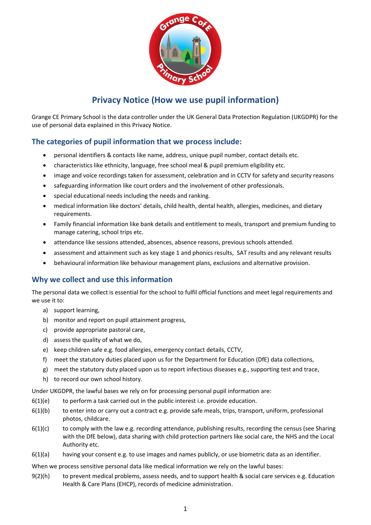

# **Privacy Notice (How we use pupil information)**

Grange CE Primary School is the data controller under the UK General Data Protection Regulation (UKGDPR) for the use of personal data explained in this Privacy Notice.

## **The categories of pupil information that we process include:**

- personal identifiers & contacts like name, address, unique pupil number, contact details etc.
- characteristics like ethnicity, language, free school meal & pupil premium eligibility etc.
- image and voice recordings taken for assessment, celebration and in CCTV for safety and security reasons
- safeguarding information like court orders and the involvement of other professionals.
- special educational needs including the needs and ranking.
- medical information like doctors' details, child health, dental health, allergies, medicines, and dietary requirements.
- Family financial information like bank details and entitlement to meals, transport and premium funding to manage catering, school trips etc.
- attendance like sessions attended, absences, absence reasons, previous schools attended.
- assessment and attainment such as key stage 1 and phonics results, SAT results and any relevant results
- behavioural information like behaviour management plans, exclusions and alternative provision.

#### **Why we collect and use this information**

The personal data we collect is essential for the school to fulfil official functions and meet legal requirements and we use it to:

- a) support learning,
- b) monitor and report on pupil attainment progress,
- c) provide appropriate pastoral care,
- d) assess the quality of what we do,
- e) keep children safe e.g. food allergies, emergency contact details, CCTV,
- f) meet the statutory duties placed upon us for the Department for Education (DfE) data collections,
- g) meet the statutory duty placed upon us to report infectious diseases e.g., supporting test and trace,
- h) to record our own school history.

Under UKGDPR, the lawful bases we rely on for processing personal pupil information are:

- $6(1)(e)$  to perform a task carried out in the public interest i.e. provide education.
- 6(1)(b) to enter into or carry out a contract e.g. provide safe meals, trips, transport, uniform, professional photos, childcare.
- $6(1)(c)$  to comply with the law e.g. recording attendance, publishing results, recording the census (see Sharing with the DfE below), data sharing with child protection partners like social care, the NHS and the Local Authority etc.
- 6(1)(a) having your consent e.g. to use images and names publicly, or use biometric data as an identifier.

When we process sensitive personal data like medical information we rely on the lawful bases:

9(2)(h) to prevent medical problems, assess needs, and to support health & social care services e.g. Education Health & Care Plans (EHCP), records of medicine administration.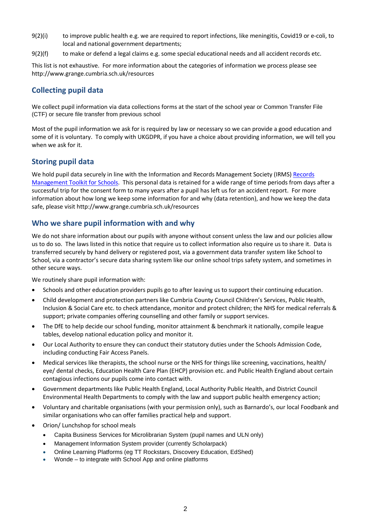- 9(2)(i) to improve public health e.g. we are required to report infections, like meningitis, Covid19 or e-coli, to local and national government departments;
- 9(2)(f) to make or defend a legal claims e.g. some special educational needs and all accident records etc.

This list is not exhaustive. For more information about the categories of information we process please see <http://www.grange.cumbria.sch.uk/resources>

## **Collecting pupil data**

We collect pupil information via data collections forms at the start of the school year or Common Transfer File (CTF) or secure file transfer from previous school

Most of the pupil information we ask for is required by law or necessary so we can provide a good education and some of it is voluntary. To comply with UKGDPR, if you have a choice about providing information, we will tell you when we ask for it.

## **Storing pupil data**

We hold pupil data securely in line with the Information and Records Management Society (IRMS[\) Records](https://irms.org.uk/general/custom.asp?page=SchoolsToolkit)  [Management Toolkit for Schools.](https://irms.org.uk/general/custom.asp?page=SchoolsToolkit) This personal data is retained for a wide range of time periods from days after a successful trip for the consent form to many years after a pupil has left us for an accident report. For more information about how long we keep some information for and why (data retention), and how we keep the data safe, please visit<http://www.grange.cumbria.sch.uk/resources>

## **Who we share pupil information with and why**

We do not share information about our pupils with anyone without consent unless the law and our policies allow us to do so. The laws listed in this notice that require us to collect information also require us to share it. Data is transferred securely by hand delivery or registered post, via a government data transfer system like School to School, via a contractor's secure data sharing system like our online school trips safety system, and sometimes in other secure ways.

We routinely share pupil information with:

- Schools and other education providers pupils go to after leaving us to support their continuing education.
- Child development and protection partners like Cumbria County Council Children's Services, Public Health, Inclusion & Social Care etc. to check attendance, monitor and protect children; the NHS for medical referrals & support; private companies offering counselling and other family or support services.
- The DfE to help decide our school funding, monitor attainment & benchmark it nationally, compile league tables, develop national education policy and monitor it.
- Our Local Authority to ensure they can conduct their statutory duties under th[e Schools Admission Code,](https://www.gov.uk/government/publications/school-admissions-code--2) including conducting Fair Access Panels.
- Medical services like therapists, the school nurse or the NHS for things like screening, vaccinations, health/ eye/ dental checks, Education Health Care Plan (EHCP) provision etc. and Public Health England about certain contagious infections our pupils come into contact with.
- Government departments like Public Health England, Local Authority Public Health, and District Council Environmental Health Departments to comply with the law and support public health emergency action;
- Voluntary and charitable organisations (with your permission only), such as Barnardo's, our local Foodbank and similar organisations who can offer families practical help and support.
- Orion/ Lunchshop for school meals
	- Capita Business Services for Microlibrarian System (pupil names and ULN only)
	- Management Information System provider (currently Scholarpack)
	- Online Learning Platforms (eg TT Rockstars, Discovery Education, EdShed)
	- Wonde to integrate with School App and online platforms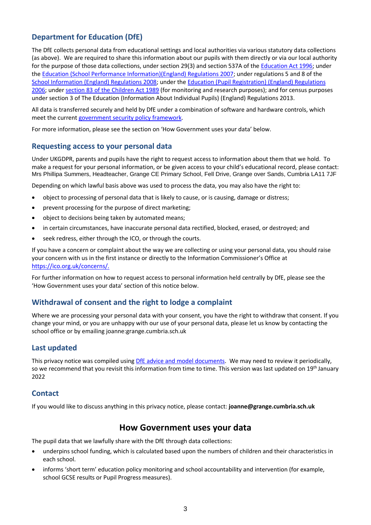# **Department for Education (DfE)**

The DfE collects personal data from educational settings and local authorities via various statutory data collections (as above). We are required to share this information about our pupils with them directly or via our local authority for the purpose of those data collections, under section 29(3) and section 537A of th[e Education Act 1996;](https://www.legislation.gov.uk/ukpga/1996/56/section/537A) under th[e Education \(School Performance Information\)\(England\) Regulations 2007;](https://www.legislation.gov.uk/uksi/2007/2324/contents/made) under regulations 5 and 8 of the [School Information \(England\) Regulations 2008;](http://www.legislation.gov.uk/uksi/2008/3093/pdfs/uksi_20083093_en.pdf) under the [Education \(Pupil Registration\) \(England\) Regulations](https://www.legislation.gov.uk/uksi/2006/1751/made#:~:text=The%20Education%20%28Pupil%20Registration%29%20%28England%29%20Regulations%202006%201,Register.%20...%209%20Method%20of%20making%20entries.%20)  [2006;](https://www.legislation.gov.uk/uksi/2006/1751/made#:~:text=The%20Education%20%28Pupil%20Registration%29%20%28England%29%20Regulations%202006%201,Register.%20...%209%20Method%20of%20making%20entries.%20) unde[r section 83 of the Children Act 1989](https://www.legislation.gov.uk/ukpga/1989/41/section/83#:~:text=Children%20Act%201989%2C%20Section%2083%20is%20up%20to,in%20the%20content%20and%20are%20referenced%20with%20annotations.) (for monitoring and research purposes); and for census purposes under section 3 of The Education (Information About Individual Pupils) (England) Regulations 2013.

All data is transferred securely and held by DfE under a combination of software and hardware controls, which meet the curren[t government security policy framework.](https://www.gov.uk/government/publications/security-policy-framework)

For more information, please see the section on 'How Government uses your data' below.

#### **Requesting access to your personal data**

Under UKGDPR, parents and pupils have the right to request access to information about them that we hold. To make a request for your personal information, or be given access to your child's educational record, please contact: Mrs Phillipa Summers, Headteacher, Grange CE Primary School, Fell Drive, Grange over Sands, Cumbria LA11 7JF

Depending on which lawful basis above was used to process the data, you may also have the right to:

- object to processing of personal data that is likely to cause, or is causing, damage or distress;
- prevent processing for the purpose of direct marketing;
- object to decisions being taken by automated means;
- in certain circumstances, have inaccurate personal data rectified, blocked, erased, or destroyed; and
- seek redress, either through the ICO, or through the courts.

If you have a concern or complaint about the way we are collecting or using your personal data, you should raise your concern with us in the first instance or directly to the Information Commissioner's Office at [https://ico.org.uk/concerns/.](https://ico.org.uk/concerns/)

For further information on how to request access to personal information held centrally by DfE, please see the 'How Government uses your data' section of this notice below.

#### **Withdrawal of consent and the right to lodge a complaint**

Where we are processing your personal data with your consent, you have the right to withdraw that consent. If you change your mind, or you are unhappy with our use of your personal data, please let us know by contacting the school office or by emailing joanne:grange.cumbria.sch.uk

#### **Last updated**

This privacy notice was compiled using [DfE advice and model documents.](https://www.gov.uk/government/publications/data-protection-and-privacy-privacy-notices) We may need to review it periodically, so we recommend that you revisit this information from time to time. This version was last updated on 19th January 2022

#### **Contact**

If you would like to discuss anything in this privacy notice, please contact: **joanne@grange.cumbria.sch.uk**

## **How Government uses your data**

The pupil data that we lawfully share with the DfE through data collections:

- underpins school funding, which is calculated based upon the numbers of children and their characteristics in each school.
- informs 'short term' education policy monitoring and school accountability and intervention (for example, school GCSE results or Pupil Progress measures).